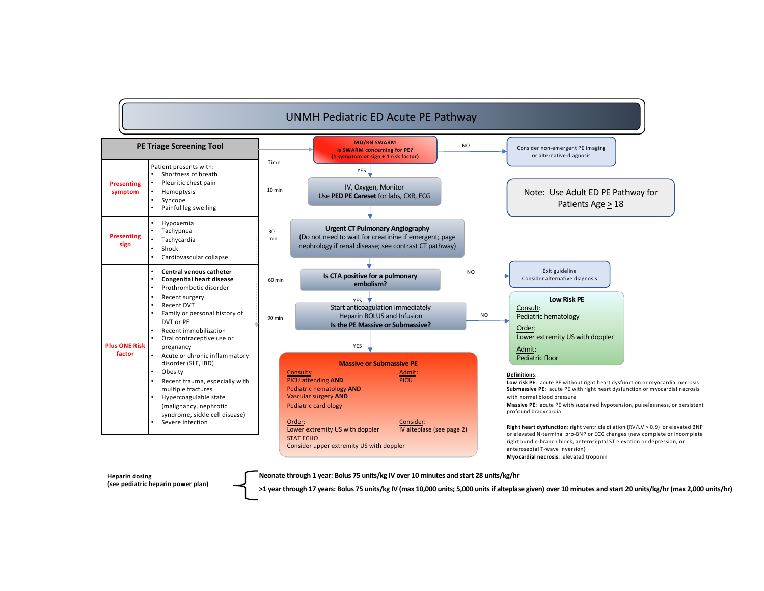## UNMH Pediatric ED Acute PE Pathway



**Heparin dosing (see pediatric heparin power plan)** **Neonate through 1 year: Bolus 75 units/kg IV over 10 minutes and start 28 units/kg/hr**

**>1 year through 17 years: Bolus 75 units/kg IV (max 10,000 units; 5,000 units if alteplase given) over 10 minutes and start 20 units/kg/hr (max 2,000 units/hr)**